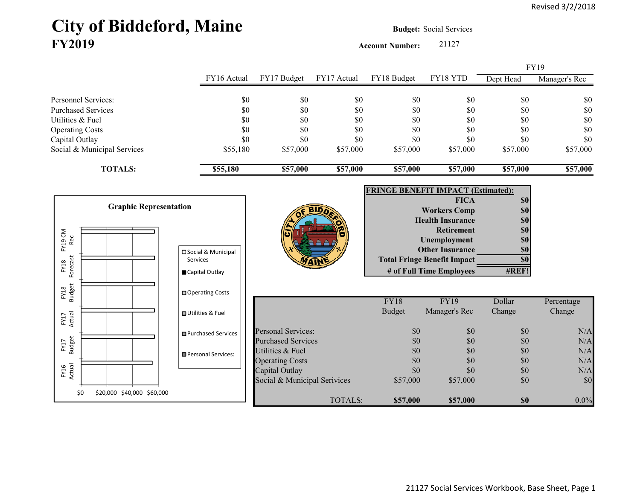# City of Biddeford, Maine **Budget: Social Services FY2019**

**Account Number:** 21127

|                                   |                               |                              |                |               |                                           |           | FY19          |
|-----------------------------------|-------------------------------|------------------------------|----------------|---------------|-------------------------------------------|-----------|---------------|
|                                   | FY16 Actual                   | FY17 Budget                  | FY17 Actual    | FY18 Budget   | FY18 YTD                                  | Dept Head | Manager's Rec |
| Personnel Services:               | \$0                           | \$0                          | \$0            | \$0           | \$0                                       | \$0       | \$0           |
| <b>Purchased Services</b>         | \$0                           | \$0                          | \$0            | \$0           | \$0                                       | \$0       | $\$0$         |
| Utilities & Fuel                  | \$0                           | \$0                          | \$0            | \$0           | \$0                                       | \$0       | $\$0$         |
| <b>Operating Costs</b>            | \$0                           | \$0                          | \$0            | \$0           | \$0                                       | \$0       | $\$0$         |
| Capital Outlay                    | \$0                           | \$0                          | \$0            | \$0           | \$0                                       | \$0       | $\$0$         |
| Social & Municipal Services       | \$55,180                      | \$57,000                     | \$57,000       | \$57,000      | \$57,000                                  | \$57,000  | \$57,000      |
| <b>TOTALS:</b>                    | \$55,180                      | \$57,000                     | \$57,000       | \$57,000      | \$57,000                                  | \$57,000  | \$57,000      |
|                                   |                               |                              |                |               | <b>FRINGE BENEFIT IMPACT (Estimated):</b> |           |               |
|                                   |                               |                              |                |               | <b>FICA</b>                               | \$0       |               |
| <b>Graphic Representation</b>     |                               |                              |                |               | <b>Workers Comp</b>                       | \$0       |               |
|                                   |                               |                              |                |               | <b>Health Insurance</b>                   | \$0       |               |
|                                   |                               |                              |                |               | <b>Retirement</b>                         | \$0       |               |
| FY19 CM<br>Rec                    |                               |                              |                |               | Unemployment                              | \$0       |               |
|                                   | □ Social & Municipal          |                              |                |               | <b>Other Insurance</b>                    | \$0       |               |
| Forecast<br>Services<br>FY18      |                               |                              |                |               | <b>Total Fringe Benefit Impact</b>        | \$0       |               |
|                                   | Capital Outlay                |                              |                |               | # of Full Time Employees                  | #REF!     |               |
| <b>Budget</b><br>FY18             | □ Operating Costs             |                              |                |               |                                           |           |               |
|                                   |                               |                              |                | FY18          | <b>FY19</b>                               | Dollar    | Percentage    |
| Actual<br>FY17                    | <b>□ Utilities &amp; Fuel</b> |                              |                | <b>Budget</b> | Manager's Rec                             | Change    | Change        |
|                                   | <b>□</b> Purchased Services   | <b>Personal Services:</b>    |                | \$0           | \$0                                       | \$0       | N/A           |
|                                   |                               | <b>Purchased Services</b>    |                | \$0           | \$0                                       | \$0       | N/A           |
| FY17<br>Budget                    | Personal Services:            | Utilities & Fuel             |                | \$0           | \$0                                       | \$0       | N/A           |
|                                   |                               | <b>Operating Costs</b>       |                | \$0           | \$0                                       | \$0       | $\rm N/A$     |
| FY16<br>Actual                    |                               | Capital Outlay               |                | \$0           | \$0                                       | \$0       | N/A           |
|                                   |                               | Social & Municipal Serivices |                | \$57,000      | \$57,000                                  | \$0       | \$0           |
| \$0<br>\$20,000 \$40,000 \$60,000 |                               |                              | <b>TOTALS:</b> | \$57,000      | \$57,000                                  | \$0       | $0.0\%$       |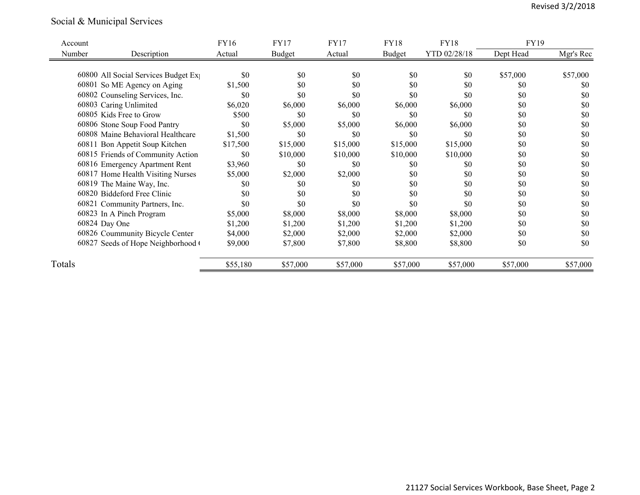## Social & Municipal Services

| Account |                                     | FY16     | FY17          | <b>FY17</b> | FY18     | <b>FY18</b>  | FY19      |           |
|---------|-------------------------------------|----------|---------------|-------------|----------|--------------|-----------|-----------|
| Number  | Description                         | Actual   | <b>Budget</b> | Actual      | Budget   | YTD 02/28/18 | Dept Head | Mgr's Rec |
|         |                                     |          |               |             |          |              |           |           |
|         | 60800 All Social Services Budget Ex | \$0      | \$0           | \$0         | \$0      | \$0          | \$57,000  | \$57,000  |
|         | 60801 So ME Agency on Aging         | \$1,500  | \$0           | \$0         | \$0      | \$0          | \$0       | \$0       |
|         | 60802 Counseling Services, Inc.     | \$0      | \$0           | \$0         | \$0      | \$0          | \$0       | \$0       |
|         | 60803 Caring Unlimited              | \$6,020  | \$6,000       | \$6,000     | \$6,000  | \$6,000      | \$0       | \$0       |
|         | 60805 Kids Free to Grow             | \$500    | \$0           | \$0         | \$0      | \$0          | \$0       | \$0       |
|         | 60806 Stone Soup Food Pantry        | \$0      | \$5,000       | \$5,000     | \$6,000  | \$6,000      | \$0       | \$0       |
|         | 60808 Maine Behavioral Healthcare   | \$1,500  | \$0           | \$0         | \$0      | \$0          | \$0       | \$0       |
|         | 60811 Bon Appetit Soup Kitchen      | \$17,500 | \$15,000      | \$15,000    | \$15,000 | \$15,000     | \$0       | \$0       |
|         | 60815 Friends of Community Action   | \$0      | \$10,000      | \$10,000    | \$10,000 | \$10,000     | \$0       | \$0       |
|         | 60816 Emergency Apartment Rent      | \$3,960  | \$0           | \$0         | \$0      | \$0          | \$0       | \$0       |
|         | 60817 Home Health Visiting Nurses   | \$5,000  | \$2,000       | \$2,000     | \$0      | \$0          | \$0       | \$0       |
|         | 60819 The Maine Way, Inc.           | \$0      | \$0           | \$0         | \$0      | \$0          | \$0       | \$0       |
|         | 60820 Biddeford Free Clinic         | \$0      | \$0           | \$0         | \$0      | \$0          | \$0       | \$0       |
|         | 60821 Community Partners, Inc.      | \$0      | \$0           | \$0         | \$0      | \$0          | \$0       | \$0       |
|         | 60823 In A Pinch Program            | \$5,000  | \$8,000       | \$8,000     | \$8,000  | \$8,000      | \$0       | \$0       |
|         | 60824 Day One                       | \$1,200  | \$1,200       | \$1,200     | \$1,200  | \$1,200      | \$0       | \$0       |
|         | 60826 Coummunity Bicycle Center     | \$4,000  | \$2,000       | \$2,000     | \$2,000  | \$2,000      | \$0       | \$0       |
|         | 60827 Seeds of Hope Neighborhood (  | \$9,000  | \$7,800       | \$7,800     | \$8,800  | \$8,800      | \$0       | \$0       |
| Totals  |                                     | \$55,180 | \$57,000      | \$57,000    | \$57,000 | \$57,000     | \$57,000  | \$57,000  |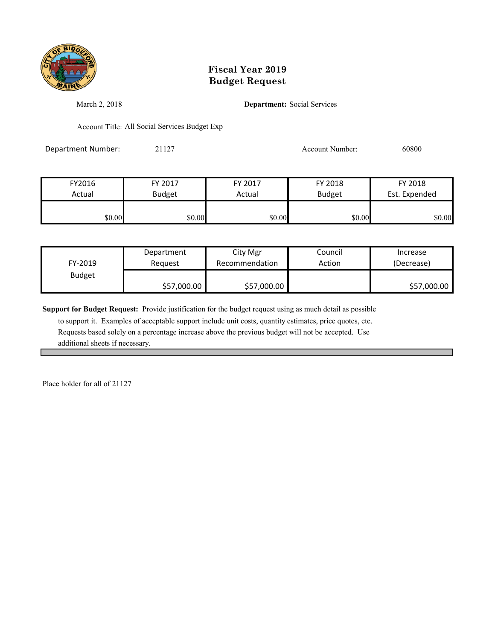

March 2, 2018 **Department:** Social Services

Account Title: All Social Services Budget Exp

Department Number: 21127 Account Number: 60800

| FY2016 | FY 2017       | FY 2017 | FY 2018       | FY 2018       |
|--------|---------------|---------|---------------|---------------|
| Actual | <b>Budget</b> | Actual  | <b>Budget</b> | Est. Expended |
|        |               |         |               |               |
| \$0.00 | \$0.00        | \$0.00  | \$0.00        | \$0.00        |

| FY-2019       | Department  | City Mgr       | Council | Increase    |
|---------------|-------------|----------------|---------|-------------|
|               | Reauest     | Recommendation | Action  | (Decrease)  |
| <b>Budget</b> | \$57,000.00 | \$57,000.00    |         | \$57,000.00 |

**Support for Budget Request:** Provide justification for the budget request using as much detail as possible

 to support it. Examples of acceptable support include unit costs, quantity estimates, price quotes, etc. Requests based solely on a percentage increase above the previous budget will not be accepted. Use additional sheets if necessary.

Place holder for all of 21127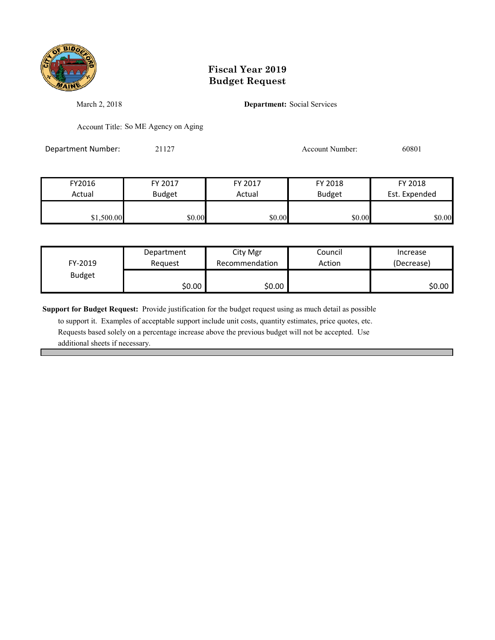

March 2, 2018 **Department:** Social Services

Account Title: So ME Agency on Aging

Department Number: 21127 Account Number: 60801

| FY2016     | FY 2017       | FY 2017 | FY 2018       | FY 2018       |
|------------|---------------|---------|---------------|---------------|
| Actual     | <b>Budget</b> | Actual  | <b>Budget</b> | Est. Expended |
|            |               |         |               |               |
| \$1,500.00 | \$0.00        | \$0.00  | \$0.00        | \$0.00        |

|               | Department | City Mgr       | Council | Increase   |
|---------------|------------|----------------|---------|------------|
| FY-2019       | Reauest    | Recommendation | Action  | (Decrease) |
| <b>Budget</b> |            |                |         |            |
|               | \$0.00     | \$0.00         |         | \$0.00     |

**Support for Budget Request:** Provide justification for the budget request using as much detail as possible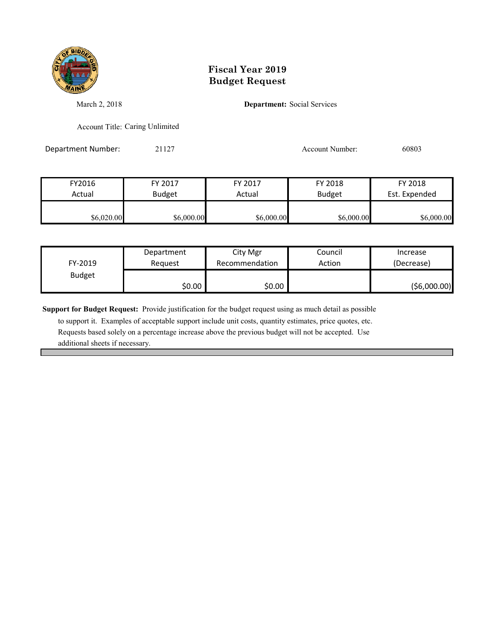

March 2, 2018 **Department:** Social Services

Account Title: Caring Unlimited

Department Number: 21127 2009 2012 2012 2012 2012 2020 20303

| FY2016     | FY 2017       | FY 2017    | FY 2018       | FY 2018       |
|------------|---------------|------------|---------------|---------------|
| Actual     | <b>Budget</b> | Actual     | <b>Budget</b> | Est. Expended |
|            |               |            |               |               |
| \$6,020.00 | \$6,000.00    | \$6,000.00 | \$6,000.00    | \$6,000.00    |

| FY-2019       | Department | City Mgr       | Council | Increase    |
|---------------|------------|----------------|---------|-------------|
|               | Reauest    | Recommendation | Action  | (Decrease)  |
| <b>Budget</b> | \$0.00     | \$0.00         |         | (56,000.00) |

**Support for Budget Request:** Provide justification for the budget request using as much detail as possible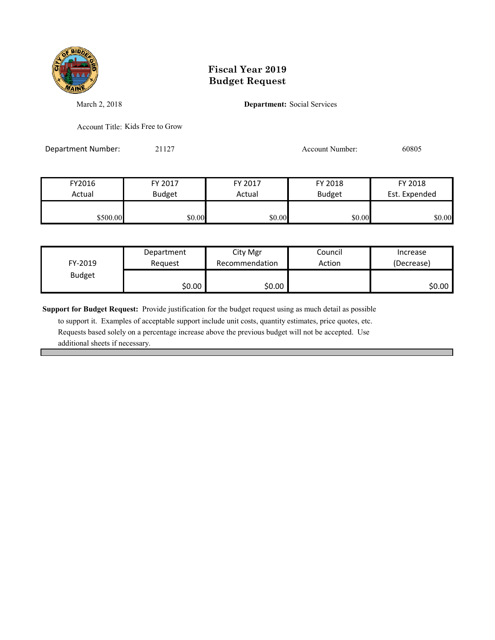

March 2, 2018 **Department:** Social Services

Account Title: Kids Free to Grow

Department Number: 21127 2009 2009 2012 2012 2012 2013

| FY2016   | FY 2017       | FY 2017 | FY 2018       | FY 2018       |
|----------|---------------|---------|---------------|---------------|
| Actual   | <b>Budget</b> | Actual  | <b>Budget</b> | Est. Expended |
|          |               |         |               |               |
| \$500.00 | \$0.00        | \$0.00  | \$0.00        | \$0.00        |

| FY-2019       | Department | City Mgr       | Council | Increase   |
|---------------|------------|----------------|---------|------------|
|               | Reauest    | Recommendation | Action  | (Decrease) |
| <b>Budget</b> | \$0.00     | \$0.00         |         | \$0.00     |

**Support for Budget Request:** Provide justification for the budget request using as much detail as possible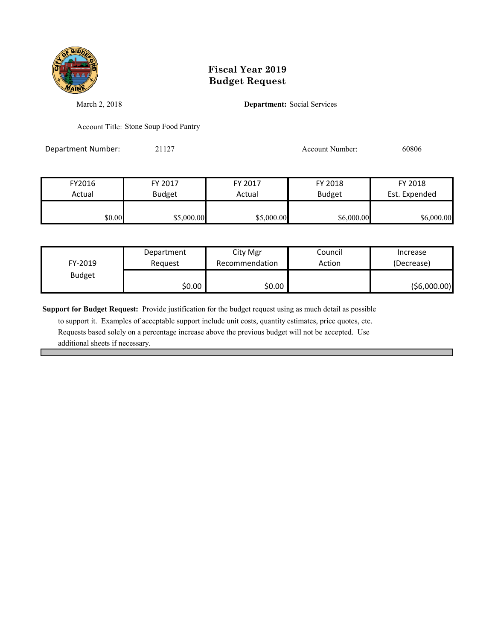

March 2, 2018 **Department:** Social Services

Account Title: Stone Soup Food Pantry

Department Number: 21127 200806 2009 20127

| FY2016 | FY 2017       | FY 2017    | FY 2018       | FY 2018       |
|--------|---------------|------------|---------------|---------------|
| Actual | <b>Budget</b> | Actual     | <b>Budget</b> | Est. Expended |
|        |               |            |               |               |
| \$0.00 | \$5,000.00    | \$5,000.00 | \$6,000.00    | \$6,000.00    |

| FY-2019       | Department | City Mgr       | Council | Increase    |
|---------------|------------|----------------|---------|-------------|
|               | Reauest    | Recommendation | Action  | (Decrease)  |
| <b>Budget</b> | \$0.00     | \$0.00         |         | (56,000.00) |

**Support for Budget Request:** Provide justification for the budget request using as much detail as possible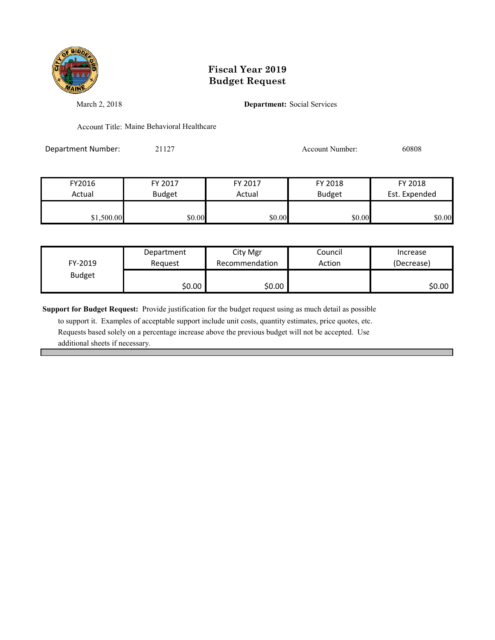

March 2, 2018 **Department:** Social Services

Account Title: Maine Behavioral Healthcare

Department Number: 21127 200808 2009 20127

| FY2016     | FY 2017       | FY 2017 | FY 2018       | FY 2018       |
|------------|---------------|---------|---------------|---------------|
| Actual     | <b>Budget</b> | Actual  | <b>Budget</b> | Est. Expended |
|            |               |         |               |               |
| \$1,500.00 | \$0.00        | \$0.00  | \$0.00        | \$0.00        |

| FY-2019       | Department | City Mgr       | Council | Increase   |
|---------------|------------|----------------|---------|------------|
|               | Request    | Recommendation | Action  | (Decrease) |
| <b>Budget</b> | \$0.00     | \$0.00         |         | \$0.00     |

**Support for Budget Request:** Provide justification for the budget request using as much detail as possible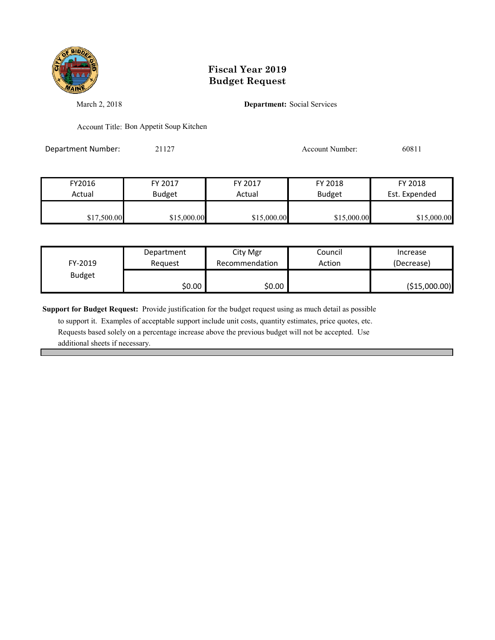

March 2, 2018 **Department:** Social Services

Account Title: Bon Appetit Soup Kitchen

Department Number: 21127 21127 Account Number: 60811

FY2016 FY 2017 FY 2017 FY 2018 FY 2018 Actual Budget Actual Budget Est. Expended \$17,500.00 \$15,000.00 \$15,000.00 \$15,000.00 \$15,000.00 \$15,000.00

| FY-2019       | Department | City Mgr       | Council | Increase      |
|---------------|------------|----------------|---------|---------------|
|               | Reauest    | Recommendation | Action  | (Decrease)    |
| <b>Budget</b> | \$0.00     | \$0.00         |         | (\$15,000.00) |

**Support for Budget Request:** Provide justification for the budget request using as much detail as possible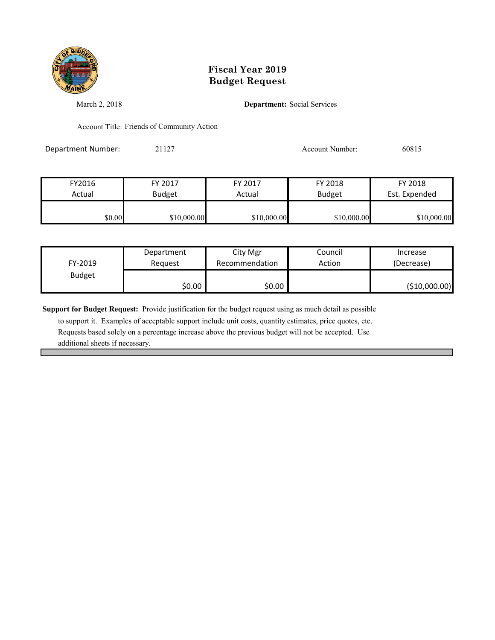

March 2, 2018 **Department:** Social Services

Account Title: Friends of Community Action

Department Number: 21127 21127 Account Number: 60815

| FY2016 | FY 2017       | FY 2017     | FY 2018       | FY 2018       |
|--------|---------------|-------------|---------------|---------------|
| Actual | <b>Budget</b> | Actual      | <b>Budget</b> | Est. Expended |
|        |               |             |               |               |
| \$0.00 | \$10,000.00   | \$10,000.00 | \$10,000.00   | \$10,000.00   |

| FY-2019       | Department | City Mgr       | Council | Increase      |
|---------------|------------|----------------|---------|---------------|
|               | Reauest    | Recommendation | Action  | (Decrease)    |
| <b>Budget</b> | \$0.00     | \$0.00         |         | (\$10,000.00) |

**Support for Budget Request:** Provide justification for the budget request using as much detail as possible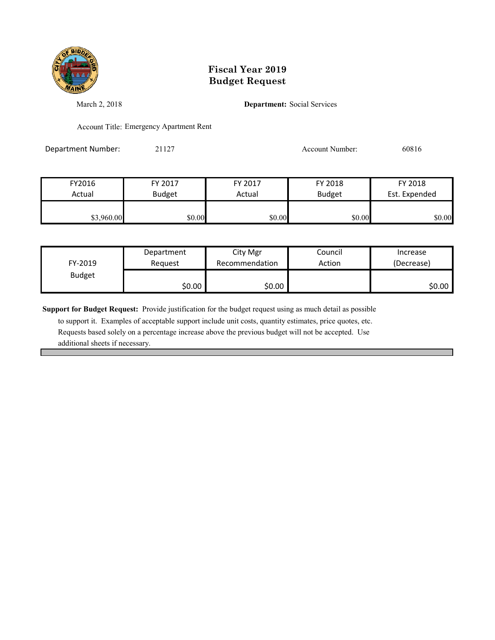

March 2, 2018 **Department:** Social Services

Account Title: Emergency Apartment Rent

Department Number: 21127 200816

| FY2016     | FY 2017       | FY 2017 | FY 2018       | FY 2018       |
|------------|---------------|---------|---------------|---------------|
| Actual     | <b>Budget</b> | Actual  | <b>Budget</b> | Est. Expended |
|            |               |         |               |               |
| \$3,960.00 | \$0.00        | \$0.00  | \$0.00        | \$0.00        |

|               | Department | City Mgr       | Council | Increase   |
|---------------|------------|----------------|---------|------------|
| FY-2019       | Reauest    | Recommendation | Action  | (Decrease) |
| <b>Budget</b> |            |                |         |            |
|               | \$0.00     | \$0.00         |         | \$0.00     |

**Support for Budget Request:** Provide justification for the budget request using as much detail as possible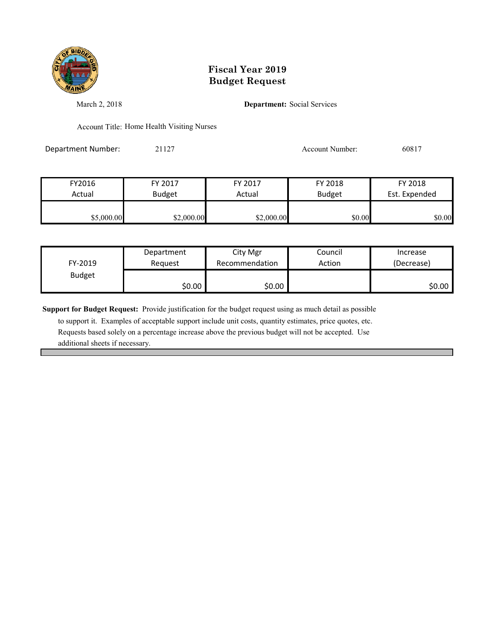

March 2, 2018 **Department:** Social Services

Account Title: Home Health Visiting Nurses

Department Number: 21127 21127 Account Number: 60817

| FY2016     | FY 2017       | FY 2017    | FY 2018       | FY 2018       |
|------------|---------------|------------|---------------|---------------|
| Actual     | <b>Budget</b> | Actual     | <b>Budget</b> | Est. Expended |
|            |               |            |               |               |
| \$5,000.00 | \$2,000.00    | \$2,000.00 | \$0.00        | \$0.00        |

| FY-2019       | Department | City Mgr       | Council | Increase   |
|---------------|------------|----------------|---------|------------|
|               | Request    | Recommendation | Action  | (Decrease) |
| <b>Budget</b> | \$0.00     | \$0.00         |         | \$0.00     |

**Support for Budget Request:** Provide justification for the budget request using as much detail as possible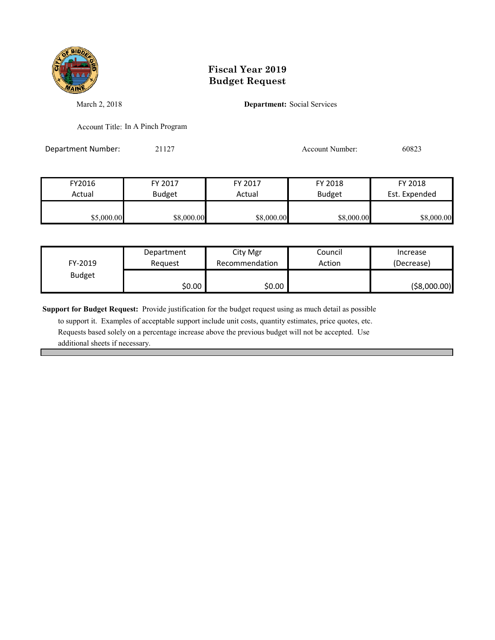

March 2, 2018 **Department:** Social Services

Account Title: In A Pinch Program

Department Number: 21127 200823

FY2016 FY 2017 FY 2017 FY 2018 FY 2018 Actual Budget | Actual Budget Est. Expended  $$8,000.00$  \$8,000.00 \$8,000.00 \$8,000.00 \$8,000.00 \$8,000.00

|               | Department | City Mgr       | Council | Increase      |
|---------------|------------|----------------|---------|---------------|
| FY-2019       | Reauest    | Recommendation | Action  | (Decrease)    |
| <b>Budget</b> |            |                |         |               |
|               | \$0.00     | \$0.00         |         | ( \$8,000.00) |

**Support for Budget Request:** Provide justification for the budget request using as much detail as possible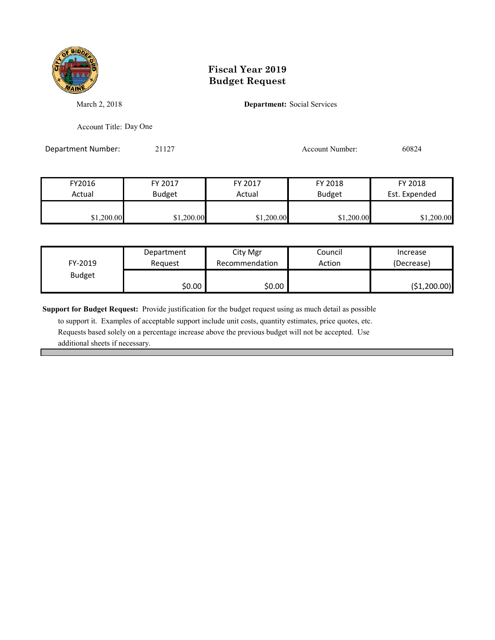

March 2, 2018 **Department:** Social Services

Account Title: Day One

Department Number: 21127 200824

| FY2016     | FY 2017       | FY 2017    | FY 2018       | FY 2018       |
|------------|---------------|------------|---------------|---------------|
| Actual     | <b>Budget</b> | Actual     | <b>Budget</b> | Est. Expended |
|            |               |            |               |               |
| \$1,200.00 | \$1,200.00    | \$1,200.00 | \$1,200.00    | \$1,200.00    |

| FY-2019       | Department | City Mgr       | Council | Increase     |
|---------------|------------|----------------|---------|--------------|
|               | Reauest    | Recommendation | Action  | (Decrease)   |
| <b>Budget</b> | \$0.00     | \$0.00         |         | (\$1,200.00) |

**Support for Budget Request:** Provide justification for the budget request using as much detail as possible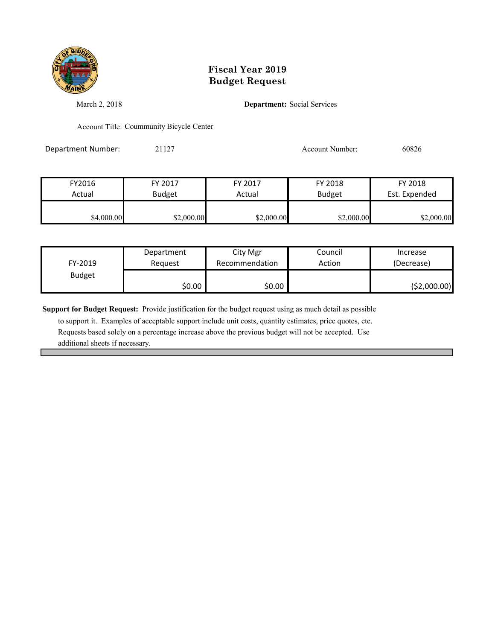

March 2, 2018 **Department:** Social Services

Account Title: Coummunity Bicycle Center

Department Number: 21127 200826

| FY2016     | FY 2017       | FY 2017    | FY 2018       | FY 2018       |
|------------|---------------|------------|---------------|---------------|
| Actual     | <b>Budget</b> | Actual     | <b>Budget</b> | Est. Expended |
|            |               |            |               |               |
| \$4,000.00 | \$2,000.00    | \$2,000.00 | \$2,000.00    | \$2,000.00    |

| FY-2019       | Department | City Mgr       | Council | Increase      |
|---------------|------------|----------------|---------|---------------|
|               | Reauest    | Recommendation | Action  | (Decrease)    |
| <b>Budget</b> | \$0.00     | \$0.00         |         | ( \$2,000.00) |

**Support for Budget Request:** Provide justification for the budget request using as much detail as possible